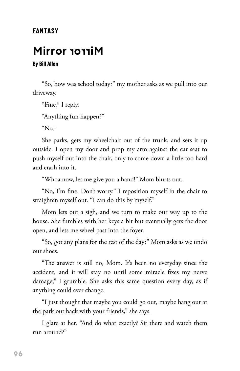#### **FANTASY**

### **Mirror**

#### **By Bill Allen**

"So, how was school today?" my mother asks as we pull into our driveway.

"Fine," I reply.

"Anything fun happen?"

"No."

She parks, gets my wheelchair out of the trunk, and sets it up outside. I open my door and prop my arm against the car seat to push myself out into the chair, only to come down a little too hard and crash into it.

"Whoa now, let me give you a hand!" Mom blurts out.

"No, I'm fine. Don't worry." I reposition myself in the chair to straighten myself out. "I can do this by myself."

Mom lets out a sigh, and we turn to make our way up to the house. She fumbles with her keys a bit but eventually gets the door open, and lets me wheel past into the foyer.

"So, got any plans for the rest of the day?" Mom asks as we undo our shoes.

"The answer is still no, Mom. It's been no everyday since the accident, and it will stay no until some miracle fixes my nerve damage," I grumble. She asks this same question every day, as if anything could ever change.

"I just thought that maybe you could go out, maybe hang out at the park out back with your friends," she says.

I glare at her. "And do what exactly? Sit there and watch them run around?"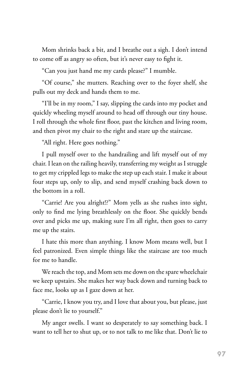Mom shrinks back a bit, and I breathe out a sigh. I don't intend to come off as angry so often, but it's never easy to fight it.

"Can you just hand me my cards please?" I mumble.

"Of course," she mutters. Reaching over to the foyer shelf, she pulls out my deck and hands them to me.

"I'll be in my room," I say, slipping the cards into my pocket and quickly wheeling myself around to head off through our tiny house. I roll through the whole first floor, past the kitchen and living room, and then pivot my chair to the right and stare up the staircase.

"All right. Here goes nothing."

I pull myself over to the handrailing and lift myself out of my chair. I lean on the railing heavily, transferring my weight as I struggle to get my crippled legs to make the step up each stair. I make it about four steps up, only to slip, and send myself crashing back down to the bottom in a roll.

"Carrie! Are you alright!?" Mom yells as she rushes into sight, only to find me lying breathlessly on the floor. She quickly bends over and picks me up, making sure I'm all right, then goes to carry me up the stairs.

I hate this more than anything. I know Mom means well, but I feel patronized. Even simple things like the staircase are too much for me to handle.

We reach the top, and Mom sets me down on the spare wheelchair we keep upstairs. She makes her way back down and turning back to face me, looks up as I gaze down at her.

"Carrie, I know you try, and I love that about you, but please, just please don't lie to yourself."

My anger swells. I want so desperately to say something back. I want to tell her to shut up, or to not talk to me like that. Don't lie to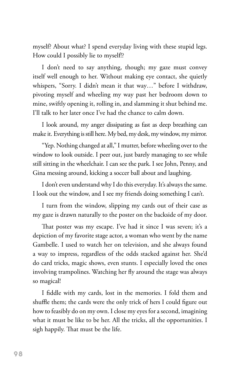myself? About what? I spend everyday living with these stupid legs. How could I possibly lie to myself!?

I don't need to say anything, though; my gaze must convey itself well enough to her. Without making eye contact, she quietly whispers, "Sorry. I didn't mean it that way…" before I withdraw, pivoting myself and wheeling my way past her bedroom down to mine, swiftly opening it, rolling in, and slamming it shut behind me. I'll talk to her later once I've had the chance to calm down.

I look around, my anger dissipating as fast as deep breathing can make it. Everything is still here. My bed, my desk, my window, my mirror.

"Yep. Nothing changed at all," I mutter, before wheeling over to the window to look outside. I peer out, just barely managing to see while still sitting in the wheelchair. I can see the park. I see John, Penny, and Gina messing around, kicking a soccer ball about and laughing.

I don't even understand why I do this everyday. It's always the same. I look out the window, and I see my friends doing something I can't.

I turn from the window, slipping my cards out of their case as my gaze is drawn naturally to the poster on the backside of my door.

That poster was my escape. I've had it since I was seven; it's a depiction of my favorite stage actor, a woman who went by the name Gambelle. I used to watch her on television, and she always found a way to impress, regardless of the odds stacked against her. She'd do card tricks, magic shows, even stunts. I especially loved the ones involving trampolines. Watching her fly around the stage was always so magical!

I fiddle with my cards, lost in the memories. I fold them and shuffle them; the cards were the only trick of hers I could figure out how to feasibly do on my own. I close my eyes for a second, imagining what it must be like to be her. All the tricks, all the opportunities. I sigh happily. That must be the life.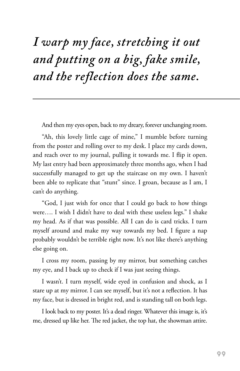# *I warp my face, stretching it out and putting on a big, fake smile, and the reflection does the same.*

And then my eyes open, back to my dreary, forever unchanging room.

"Ah, this lovely little cage of mine," I mumble before turning from the poster and rolling over to my desk. I place my cards down, and reach over to my journal, pulling it towards me. I flip it open. My last entry had been approximately three months ago, when I had successfully managed to get up the staircase on my own. I haven't been able to replicate that "stunt" since. I groan, because as I am, I can't do anything.

"God, I just wish for once that I could go back to how things were…. I wish I didn't have to deal with these useless legs." I shake my head. As if that was possible. All I can do is card tricks. I turn myself around and make my way towards my bed. I figure a nap probably wouldn't be terrible right now. It's not like there's anything else going on.

I cross my room, passing by my mirror, but something catches my eye, and I back up to check if I was just seeing things.

I wasn't. I turn myself, wide eyed in confusion and shock, as I stare up at my mirror. I can see myself, but it's not a reflection. It has my face, but is dressed in bright red, and is standing tall on both legs.

I look back to my poster. It's a dead ringer. Whatever this image is, it's me, dressed up like her. The red jacket, the top hat, the showman attire.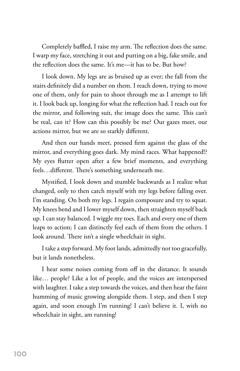Completely baffled, I raise my arm. The reflection does the same. I warp my face, stretching it out and putting on a big, fake smile, and the reflection does the same. It's me—it has to be. But how?

I look down. My legs are as bruised up as ever; the fall from the stairs definitely did a number on them. I reach down, trying to move one of them, only for pain to shoot through me as I attempt to lift it. I look back up, longing for what the reflection had. I reach out for the mirror, and following suit, the image does the same. This can't be real, can it? How can this possibly be me? Our gazes meet, our actions mirror, but we are so starkly different.

And then our hands meet, pressed firm against the glass of the mirror, and everything goes dark. My mind races. What happened!? My eyes flutter open after a few brief moments, and everything feels…different. There's something underneath me.

Mystified, I look down and stumble backwards as I realize what changed, only to then catch myself with my legs before falling over. I'm standing. On both my legs. I regain composure and try to squat. My knees bend and I lower myself down, then straighten myself back up. I can stay balanced. I wiggle my toes. Each and every one of them leaps to action; I can distinctly feel each of them from the others. I look around. There isn't a single wheelchair in sight.

I take a step forward. My foot lands, admittedly not too gracefully, but it lands nonetheless.

I hear some noises coming from off in the distance. It sounds like… people? Like a lot of people, and the voices are interspersed with laughter. I take a step towards the voices, and then hear the faint humming of music growing alongside them. I step, and then I step again, and soon enough I'm running! I can't believe it. I, with no wheelchair in sight, am running!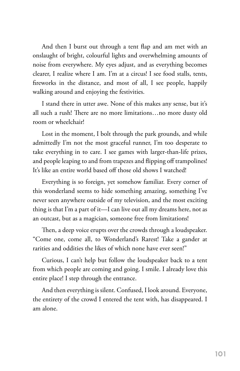And then I burst out through a tent flap and am met with an onslaught of bright, colourful lights and overwhelming amounts of noise from everywhere. My eyes adjust, and as everything becomes clearer, I realize where I am. I'm at a circus! I see food stalls, tents, fireworks in the distance, and most of all, I see people, happily walking around and enjoying the festivities.

I stand there in utter awe. None of this makes any sense, but it's all such a rush! There are no more limitations…no more dusty old room or wheelchair!

Lost in the moment, I bolt through the park grounds, and while admittedly I'm not the most graceful runner, I'm too desperate to take everything in to care. I see games with larger-than-life prizes, and people leaping to and from trapezes and flipping off trampolines! It's like an entire world based off those old shows I watched!

Everything is so foreign, yet somehow familiar. Every corner of this wonderland seems to hide something amazing, something I've never seen anywhere outside of my television, and the most exciting thing is that I'm a part of it—I can live out all my dreams here, not as an outcast, but as a magician, someone free from limitations!

Then, a deep voice erupts over the crowds through a loudspeaker. "Come one, come all, to Wonderland's Rarest! Take a gander at rarities and oddities the likes of which none have ever seen!"

Curious, I can't help but follow the loudspeaker back to a tent from which people are coming and going. I smile. I already love this entire place! I step through the entrance.

And then everything is silent. Confused, I look around. Everyone, the entirety of the crowd I entered the tent with, has disappeared. I am alone.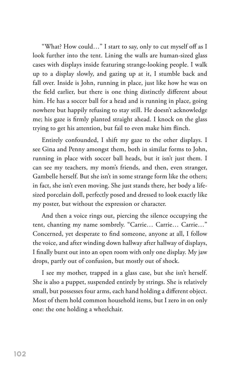"What? How could…" I start to say, only to cut myself off as I look further into the tent. Lining the walls are human-sized glass cases with displays inside featuring strange-looking people. I walk up to a display slowly, and gazing up at it, I stumble back and fall over. Inside is John, running in place, just like how he was on the field earlier, but there is one thing distinctly different about him. He has a soccer ball for a head and is running in place, going nowhere but happily refusing to stay still. He doesn't acknowledge me; his gaze is firmly planted straight ahead. I knock on the glass trying to get his attention, but fail to even make him flinch.

Entirely confounded, I shift my gaze to the other displays. I see Gina and Penny amongst them, both in similar forms to John, running in place with soccer ball heads, but it isn't just them. I can see my teachers, my mom's friends, and then, even stranger, Gambelle herself. But she isn't in some strange form like the others; in fact, she isn't even moving. She just stands there, her body a lifesized porcelain doll, perfectly posed and dressed to look exactly like my poster, but without the expression or character.

And then a voice rings out, piercing the silence occupying the tent, chanting my name sombrely. "Carrie… Carrie… Carrie…" Concerned, yet desperate to find someone, anyone at all, I follow the voice, and after winding down hallway after hallway of displays, I finally burst out into an open room with only one display. My jaw drops, partly out of confusion, but mostly out of shock.

I see my mother, trapped in a glass case, but she isn't herself. She is also a puppet, suspended entirely by strings. She is relatively small, but possesses four arms, each hand holding a different object. Most of them hold common household items, but I zero in on only one: the one holding a wheelchair.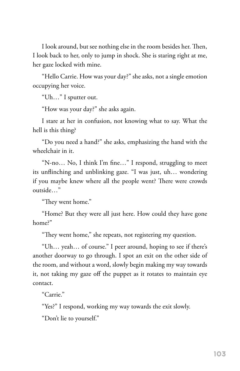I look around, but see nothing else in the room besides her. Then, I look back to her, only to jump in shock. She is staring right at me, her gaze locked with mine.

"Hello Carrie. How was your day?" she asks, not a single emotion occupying her voice.

"Uh…" I sputter out.

"How was your day?" she asks again.

I stare at her in confusion, not knowing what to say. What the hell is this thing?

"Do you need a hand?" she asks, emphasizing the hand with the wheelchair in it.

"N-no… No, I think I'm fine…" I respond, struggling to meet its unflinching and unblinking gaze. "I was just, uh… wondering if you maybe knew where all the people went? There were crowds outside…"

"They went home."

"Home? But they were all just here. How could they have gone home?"

"They went home," she repeats, not registering my question.

"Uh… yeah… of course." I peer around, hoping to see if there's another doorway to go through. I spot an exit on the other side of the room, and without a word, slowly begin making my way towards it, not taking my gaze off the puppet as it rotates to maintain eye contact.

"Carrie."

"Yes?" I respond, working my way towards the exit slowly.

"Don't lie to yourself."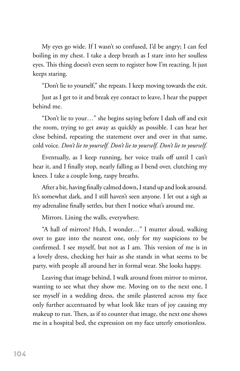My eyes go wide. If I wasn't so confused, I'd be angry; I can feel boiling in my chest. I take a deep breath as I stare into her soulless eyes. This thing doesn't even seem to register how I'm reacting. It just keeps staring.

"Don't lie to yourself," she repeats. I keep moving towards the exit.

Just as I get to it and break eye contact to leave, I hear the puppet behind me.

"Don't lie to your…" she begins saying before I dash off and exit the room, trying to get away as quickly as possible. I can hear her close behind, repeating the statement over and over in that same, cold voice. *Don't lie to yourself. Don't lie to yourself. Don't lie to yourself.*

Eventually, as I keep running, her voice trails off until I can't hear it, and I finally stop, nearly falling as I bend over, clutching my knees. I take a couple long, raspy breaths.

After a bit, having finally calmed down, I stand up and look around. It's somewhat dark, and I still haven't seen anyone. I let out a sigh as my adrenaline finally settles, but then I notice what's around me.

Mirrors. Lining the walls, everywhere.

"A hall of mirrors? Huh, I wonder…" I mutter aloud, walking over to gaze into the nearest one, only for my suspicions to be confirmed. I see myself, but not as I am. This version of me is in a lovely dress, checking her hair as she stands in what seems to be party, with people all around her in formal wear. She looks happy.

Leaving that image behind, I walk around from mirror to mirror, wanting to see what they show me. Moving on to the next one, I see myself in a wedding dress, the smile plastered across my face only further accentuated by what look like tears of joy causing my makeup to run. Then, as if to counter that image, the next one shows me in a hospital bed, the expression on my face utterly emotionless.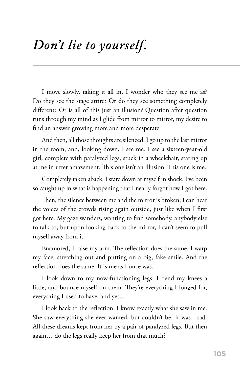## *Don't lie to yourself.*

I move slowly, taking it all in. I wonder who they see me as? Do they see the stage attire? Or do they see something completely different? Or is all of this just an illusion? Question after question runs through my mind as I glide from mirror to mirror, my desire to find an answer growing more and more desperate.

And then, all those thoughts are silenced. I go up to the last mirror in the room, and, looking down, I see me. I see a sixteen-year-old girl, complete with paralyzed legs, stuck in a wheelchair, staring up at me in utter amazement. This one isn't an illusion. This one is me.

Completely taken aback, I stare down at myself in shock. I've been so caught up in what is happening that I nearly forgot how I got here.

Then, the silence between me and the mirror is broken; I can hear the voices of the crowds rising again outside, just like when I first got here. My gaze wanders, wanting to find somebody, anybody else to talk to, but upon looking back to the mirror, I can't seem to pull myself away from it.

Enamored, I raise my arm. The reflection does the same. I warp my face, stretching out and putting on a big, fake smile. And the reflection does the same. It is me as I once was.

I look down to my now-functioning legs. I bend my knees a little, and bounce myself on them. They're everything I longed for, everything I used to have, and yet…

I look back to the reflection. I know exactly what she saw in me. She saw everything she ever wanted, but couldn't be. It was…sad. All these dreams kept from her by a pair of paralyzed legs. But then again… do the legs really keep her from that much?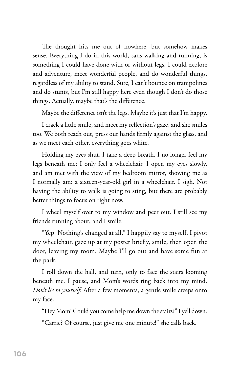The thought hits me out of nowhere, but somehow makes sense. Everything I do in this world, sans walking and running, is something I could have done with or without legs. I could explore and adventure, meet wonderful people, and do wonderful things, regardless of my ability to stand. Sure, I can't bounce on trampolines and do stunts, but I'm still happy here even though I don't do those things. Actually, maybe that's the difference.

Maybe the difference isn't the legs. Maybe it's just that I'm happy.

I crack a little smile, and meet my reflection's gaze, and she smiles too. We both reach out, press our hands firmly against the glass, and as we meet each other, everything goes white.

Holding my eyes shut, I take a deep breath. I no longer feel my legs beneath me; I only feel a wheelchair. I open my eyes slowly, and am met with the view of my bedroom mirror, showing me as I normally am: a sixteen-year-old girl in a wheelchair. I sigh. Not having the ability to walk is going to sting, but there are probably better things to focus on right now.

I wheel myself over to my window and peer out. I still see my friends running about, and I smile.

"Yep. Nothing's changed at all," I happily say to myself. I pivot my wheelchair, gaze up at my poster briefly, smile, then open the door, leaving my room. Maybe I'll go out and have some fun at the park.

I roll down the hall, and turn, only to face the stairs looming beneath me. I pause, and Mom's words ring back into my mind. *Don't lie to yourself.* After a few moments, a gentle smile creeps onto my face.

"Hey Mom! Could you come help me down the stairs?" I yell down.

"Carrie? Of course, just give me one minute!" she calls back.